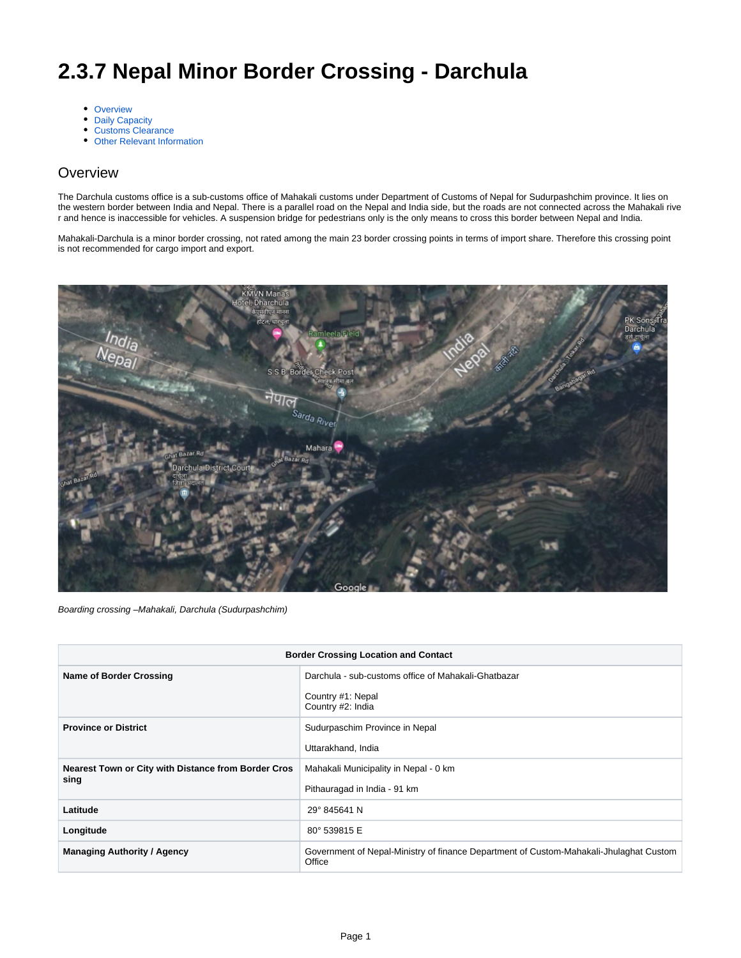# **2.3.7 Nepal Minor Border Crossing - Darchula**

- [Overview](#page-0-0)
- [Daily Capacity](#page-1-0)
- [Customs Clearance](#page-2-0)
- [Other Relevant Information](#page-2-1)

### <span id="page-0-0"></span>**Overview**

The Darchula customs office is a sub-customs office of Mahakali customs under Department of Customs of Nepal for Sudurpashchim province. It lies on the western border between India and Nepal. There is a parallel road on the Nepal and India side, but the roads are not connected across the Mahakali rive r and hence is inaccessible for vehicles. A suspension bridge for pedestrians only is the only means to cross this border between Nepal and India.

Mahakali-Darchula is a minor border crossing, not rated among the main 23 border crossing points in terms of import share. Therefore this crossing point is not recommended for cargo import and export.



Boarding crossing –Mahakali, Darchula (Sudurpashchim)

| <b>Border Crossing Location and Contact</b>                 |                                                                                                  |
|-------------------------------------------------------------|--------------------------------------------------------------------------------------------------|
| <b>Name of Border Crossing</b>                              | Darchula - sub-customs office of Mahakali-Ghatbazar                                              |
|                                                             | Country #1: Nepal<br>Country #2: India                                                           |
| <b>Province or District</b>                                 | Sudurpaschim Province in Nepal                                                                   |
|                                                             | Uttarakhand, India                                                                               |
| Nearest Town or City with Distance from Border Cros<br>sing | Mahakali Municipality in Nepal - 0 km                                                            |
|                                                             | Pithauragad in India - 91 km                                                                     |
| Latitude                                                    | 29° 845641 N                                                                                     |
| Longitude                                                   | 80° 539815 E                                                                                     |
| <b>Managing Authority / Agency</b>                          | Government of Nepal-Ministry of finance Department of Custom-Mahakali-Jhulaghat Custom<br>Office |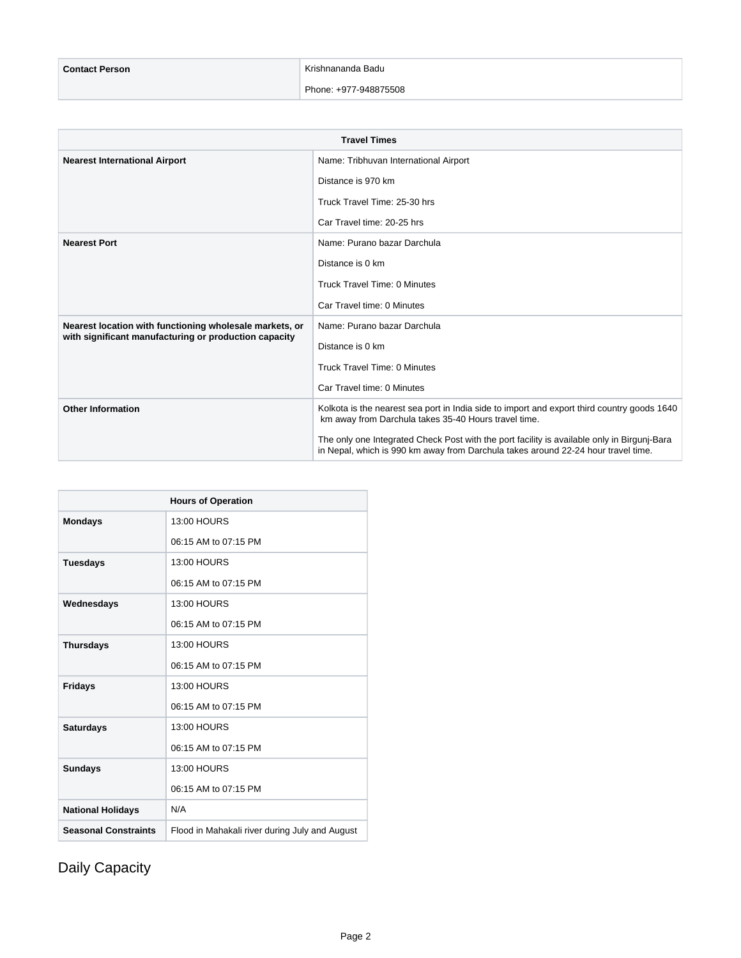#### Phone: +977-948875508

| <b>Travel Times</b>                                                                                              |                                                                                                                                                                                  |
|------------------------------------------------------------------------------------------------------------------|----------------------------------------------------------------------------------------------------------------------------------------------------------------------------------|
| <b>Nearest International Airport</b>                                                                             | Name: Tribhuvan International Airport                                                                                                                                            |
|                                                                                                                  | Distance is 970 km                                                                                                                                                               |
|                                                                                                                  | Truck Travel Time: 25-30 hrs                                                                                                                                                     |
|                                                                                                                  | Car Travel time: 20-25 hrs                                                                                                                                                       |
| <b>Nearest Port</b>                                                                                              | Name: Purano bazar Darchula                                                                                                                                                      |
|                                                                                                                  | Distance is 0 km                                                                                                                                                                 |
|                                                                                                                  | Truck Travel Time: 0 Minutes                                                                                                                                                     |
|                                                                                                                  | Car Travel time: 0 Minutes                                                                                                                                                       |
| Nearest location with functioning wholesale markets, or<br>with significant manufacturing or production capacity | Name: Purano bazar Darchula                                                                                                                                                      |
|                                                                                                                  | Distance is 0 km                                                                                                                                                                 |
|                                                                                                                  | Truck Travel Time: 0 Minutes                                                                                                                                                     |
|                                                                                                                  | Car Travel time: 0 Minutes                                                                                                                                                       |
| <b>Other Information</b>                                                                                         | Kolkota is the nearest sea port in India side to import and export third country goods 1640<br>km away from Darchula takes 35-40 Hours travel time.                              |
|                                                                                                                  | The only one Integrated Check Post with the port facility is available only in Birgunj-Bara<br>in Nepal, which is 990 km away from Darchula takes around 22-24 hour travel time. |

| <b>Hours of Operation</b>   |                                                |
|-----------------------------|------------------------------------------------|
| <b>Mondays</b>              | 13:00 HOURS                                    |
|                             | 06:15 AM to 07:15 PM                           |
| <b>Tuesdays</b>             | 13:00 HOURS                                    |
|                             | 06:15 AM to 07:15 PM                           |
| Wednesdays                  | 13:00 HOURS                                    |
|                             | 06:15 AM to 07:15 PM                           |
| <b>Thursdays</b>            | 13:00 HOURS                                    |
|                             | 06:15 AM to 07:15 PM                           |
| <b>Fridays</b>              | 13:00 HOURS                                    |
|                             | 06:15 AM to 07:15 PM                           |
| <b>Saturdays</b>            | 13:00 HOURS                                    |
|                             | 06:15 AM to 07:15 PM                           |
| <b>Sundays</b>              | 13:00 HOURS                                    |
|                             | 06:15 AM to 07:15 PM                           |
| <b>National Holidays</b>    | N/A                                            |
| <b>Seasonal Constraints</b> | Flood in Mahakali river during July and August |

<span id="page-1-0"></span>Daily Capacity